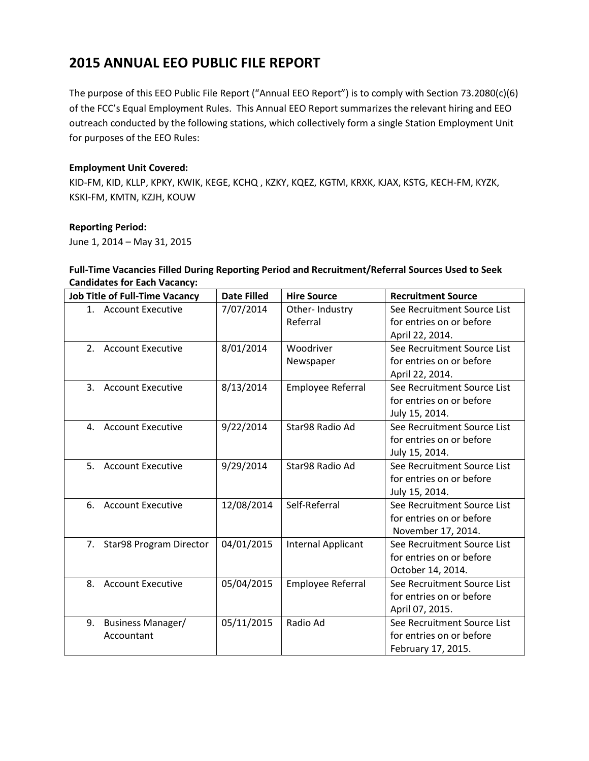The purpose of this EEO Public File Report ("Annual EEO Report") is to comply with Section 73.2080(c)(6) of the FCC's Equal Employment Rules. This Annual EEO Report summarizes the relevant hiring and EEO outreach conducted by the following stations, which collectively form a single Station Employment Unit for purposes of the EEO Rules:

#### **Employment Unit Covered:**

KID-FM, KID, KLLP, KPKY, KWIK, KEGE, KCHQ , KZKY, KQEZ, KGTM, KRXK, KJAX, KSTG, KECH-FM, KYZK, KSKI-FM, KMTN, KZJH, KOUW

#### **Reporting Period:**

June 1, 2014 – May 31, 2015

### **Full-Time Vacancies Filled During Reporting Period and Recruitment/Referral Sources Used to Seek Candidates for Each Vacancy:**

| <b>Job Title of Full-Time Vacancy</b>      | <b>Date Filled</b> | <b>Hire Source</b>       | <b>Recruitment Source</b>   |
|--------------------------------------------|--------------------|--------------------------|-----------------------------|
| 1. Account Executive                       | 7/07/2014          | Other-Industry           | See Recruitment Source List |
|                                            |                    | Referral                 | for entries on or before    |
|                                            |                    |                          | April 22, 2014.             |
| 2 <sup>1</sup><br><b>Account Executive</b> | 8/01/2014          | Woodriver                | See Recruitment Source List |
|                                            |                    | Newspaper                | for entries on or before    |
|                                            |                    |                          | April 22, 2014.             |
| 3.<br><b>Account Executive</b>             | 8/13/2014          | <b>Employee Referral</b> | See Recruitment Source List |
|                                            |                    |                          | for entries on or before    |
|                                            |                    |                          | July 15, 2014.              |
| <b>Account Executive</b><br>4.             | 9/22/2014          | Star98 Radio Ad          | See Recruitment Source List |
|                                            |                    |                          | for entries on or before    |
|                                            |                    |                          | July 15, 2014.              |
| 5. Account Executive                       | 9/29/2014          | Star98 Radio Ad          | See Recruitment Source List |
|                                            |                    |                          | for entries on or before    |
|                                            |                    |                          | July 15, 2014.              |
| <b>Account Executive</b><br>6.             | 12/08/2014         | Self-Referral            | See Recruitment Source List |
|                                            |                    |                          | for entries on or before    |
|                                            |                    |                          | November 17, 2014.          |
| 7. Star98 Program Director                 | 04/01/2015         | Internal Applicant       | See Recruitment Source List |
|                                            |                    |                          | for entries on or before    |
|                                            |                    |                          | October 14, 2014.           |
| <b>Account Executive</b><br>8.             | 05/04/2015         | <b>Employee Referral</b> | See Recruitment Source List |
|                                            |                    |                          | for entries on or before    |
|                                            |                    |                          | April 07, 2015.             |
| 9.<br><b>Business Manager/</b>             | 05/11/2015         | Radio Ad                 | See Recruitment Source List |
| Accountant                                 |                    |                          | for entries on or before    |
|                                            |                    |                          | February 17, 2015.          |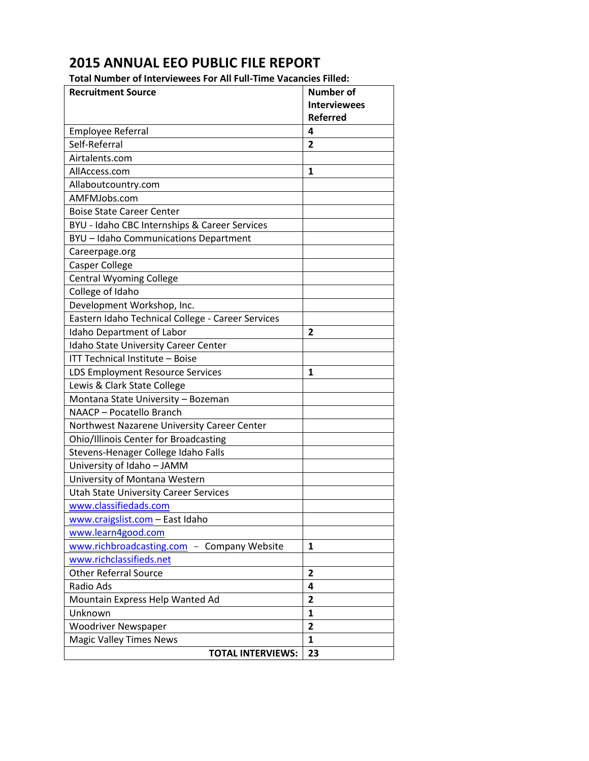**Total Number of Interviewees For All Full-Time Vacancies Filled:**

| <b>Recruitment Source</b>                         | <b>Number of</b>    |
|---------------------------------------------------|---------------------|
|                                                   | <b>Interviewees</b> |
|                                                   | <b>Referred</b>     |
| <b>Employee Referral</b>                          | 4                   |
| Self-Referral                                     | $\overline{2}$      |
| Airtalents.com                                    |                     |
| AllAccess.com                                     | 1                   |
| Allaboutcountry.com                               |                     |
| AMFMJobs.com                                      |                     |
| <b>Boise State Career Center</b>                  |                     |
| BYU - Idaho CBC Internships & Career Services     |                     |
| BYU - Idaho Communications Department             |                     |
| Careerpage.org                                    |                     |
| Casper College                                    |                     |
| <b>Central Wyoming College</b>                    |                     |
| College of Idaho                                  |                     |
| Development Workshop, Inc.                        |                     |
| Eastern Idaho Technical College - Career Services |                     |
| Idaho Department of Labor                         | $\overline{2}$      |
| Idaho State University Career Center              |                     |
| ITT Technical Institute - Boise                   |                     |
| LDS Employment Resource Services                  | 1                   |
| Lewis & Clark State College                       |                     |
| Montana State University - Bozeman                |                     |
| NAACP - Pocatello Branch                          |                     |
| Northwest Nazarene University Career Center       |                     |
| Ohio/Illinois Center for Broadcasting             |                     |
| Stevens-Henager College Idaho Falls               |                     |
| University of Idaho - JAMM                        |                     |
| University of Montana Western                     |                     |
| <b>Utah State University Career Services</b>      |                     |
| www.classifiedads.com                             |                     |
| www.craigslist.com - East Idaho                   |                     |
| www.learn4good.com                                |                     |
| www.richbroadcasting.com<br>- Company Website     | 1                   |
| www.richclassifieds.net                           |                     |
| <b>Other Referral Source</b>                      | $\overline{2}$      |
| Radio Ads                                         | 4                   |
| Mountain Express Help Wanted Ad                   | $\mathbf{2}$        |
| Unknown                                           | $\mathbf{1}$        |
| <b>Woodriver Newspaper</b>                        | 2                   |
| <b>Magic Valley Times News</b>                    | 1                   |
| <b>TOTAL INTERVIEWS:</b>                          | 23                  |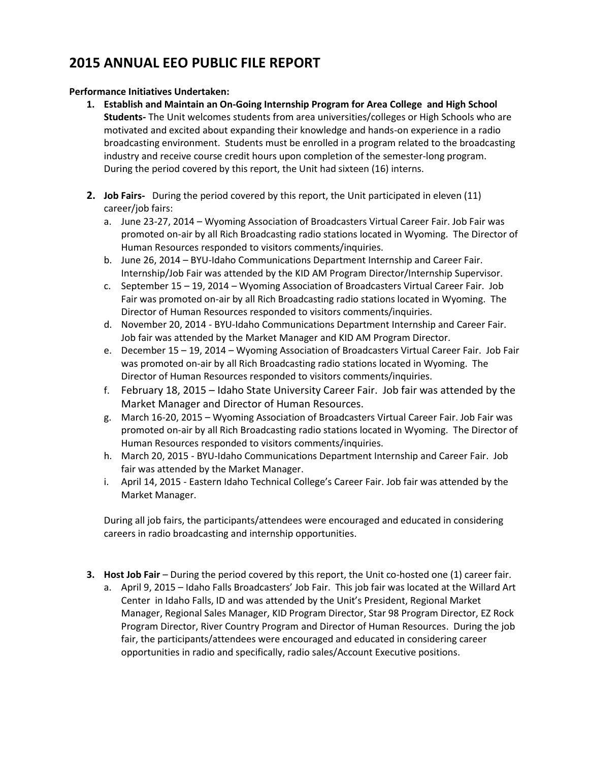#### **Performance Initiatives Undertaken:**

- **1. Establish and Maintain an On-Going Internship Program for Area College and High School Students-** The Unit welcomes students from area universities/colleges or High Schools who are motivated and excited about expanding their knowledge and hands-on experience in a radio broadcasting environment. Students must be enrolled in a program related to the broadcasting industry and receive course credit hours upon completion of the semester-long program. During the period covered by this report, the Unit had sixteen (16) interns.
- **2. Job Fairs-** During the period covered by this report, the Unit participated in eleven (11) career/job fairs:
	- a. June 23-27, 2014 Wyoming Association of Broadcasters Virtual Career Fair. Job Fair was promoted on-air by all Rich Broadcasting radio stations located in Wyoming. The Director of Human Resources responded to visitors comments/inquiries.
	- b. June 26, 2014 BYU-Idaho Communications Department Internship and Career Fair. Internship/Job Fair was attended by the KID AM Program Director/Internship Supervisor.
	- c. September 15 19, 2014 Wyoming Association of Broadcasters Virtual Career Fair. Job Fair was promoted on-air by all Rich Broadcasting radio stations located in Wyoming. The Director of Human Resources responded to visitors comments/inquiries.
	- d. November 20, 2014 BYU-Idaho Communications Department Internship and Career Fair. Job fair was attended by the Market Manager and KID AM Program Director.
	- e. December 15 19, 2014 Wyoming Association of Broadcasters Virtual Career Fair. Job Fair was promoted on-air by all Rich Broadcasting radio stations located in Wyoming. The Director of Human Resources responded to visitors comments/inquiries.
	- f. February 18, 2015 Idaho State University Career Fair. Job fair was attended by the Market Manager and Director of Human Resources.
	- g. March 16-20, 2015 Wyoming Association of Broadcasters Virtual Career Fair. Job Fair was promoted on-air by all Rich Broadcasting radio stations located in Wyoming. The Director of Human Resources responded to visitors comments/inquiries.
	- h. March 20, 2015 BYU-Idaho Communications Department Internship and Career Fair. Job fair was attended by the Market Manager.
	- i. April 14, 2015 Eastern Idaho Technical College's Career Fair. Job fair was attended by the Market Manager.

During all job fairs, the participants/attendees were encouraged and educated in considering careers in radio broadcasting and internship opportunities.

- **3. Host Job Fair** During the period covered by this report, the Unit co-hosted one (1) career fair.
	- a. April 9, 2015 Idaho Falls Broadcasters' Job Fair. This job fair was located at the Willard Art Center in Idaho Falls, ID and was attended by the Unit's President, Regional Market Manager, Regional Sales Manager, KID Program Director, Star 98 Program Director, EZ Rock Program Director, River Country Program and Director of Human Resources. During the job fair, the participants/attendees were encouraged and educated in considering career opportunities in radio and specifically, radio sales/Account Executive positions.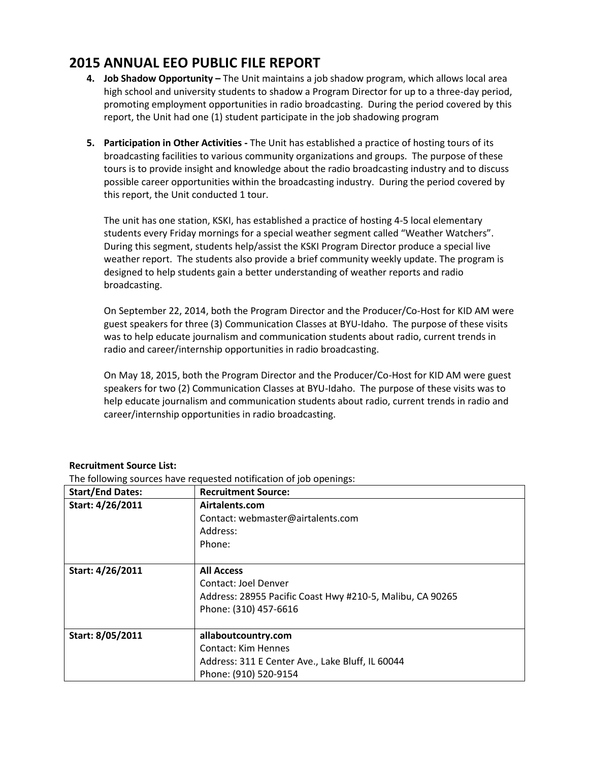- **4. Job Shadow Opportunity -** The Unit maintains a job shadow program, which allows local area high school and university students to shadow a Program Director for up to a three-day period, promoting employment opportunities in radio broadcasting. During the period covered by this report, the Unit had one (1) student participate in the job shadowing program
- **5. Participation in Other Activities -** The Unit has established a practice of hosting tours of its broadcasting facilities to various community organizations and groups. The purpose of these tours is to provide insight and knowledge about the radio broadcasting industry and to discuss possible career opportunities within the broadcasting industry. During the period covered by this report, the Unit conducted 1 tour.

The unit has one station, KSKI, has established a practice of hosting 4-5 local elementary students every Friday mornings for a special weather segment called "Weather Watchers". During this segment, students help/assist the KSKI Program Director produce a special live weather report. The students also provide a brief community weekly update. The program is designed to help students gain a better understanding of weather reports and radio broadcasting.

On September 22, 2014, both the Program Director and the Producer/Co-Host for KID AM were guest speakers for three (3) Communication Classes at BYU-Idaho. The purpose of these visits was to help educate journalism and communication students about radio, current trends in radio and career/internship opportunities in radio broadcasting.

On May 18, 2015, both the Program Director and the Producer/Co-Host for KID AM were guest speakers for two (2) Communication Classes at BYU-Idaho. The purpose of these visits was to help educate journalism and communication students about radio, current trends in radio and career/internship opportunities in radio broadcasting.

| <b>Start/End Dates:</b> | <b>Recruitment Source:</b>                                |
|-------------------------|-----------------------------------------------------------|
| Start: 4/26/2011        | Airtalents.com                                            |
|                         | Contact: webmaster@airtalents.com                         |
|                         | Address:                                                  |
|                         | Phone:                                                    |
|                         |                                                           |
| Start: 4/26/2011        | <b>All Access</b>                                         |
|                         | Contact: Joel Denver                                      |
|                         | Address: 28955 Pacific Coast Hwy #210-5, Malibu, CA 90265 |
|                         | Phone: (310) 457-6616                                     |
|                         |                                                           |
| Start: 8/05/2011        | allaboutcountry.com                                       |
|                         | Contact: Kim Hennes                                       |
|                         | Address: 311 E Center Ave., Lake Bluff, IL 60044          |
|                         | Phone: (910) 520-9154                                     |

#### **Recruitment Source List:**

The following sources have requested notification of job openings: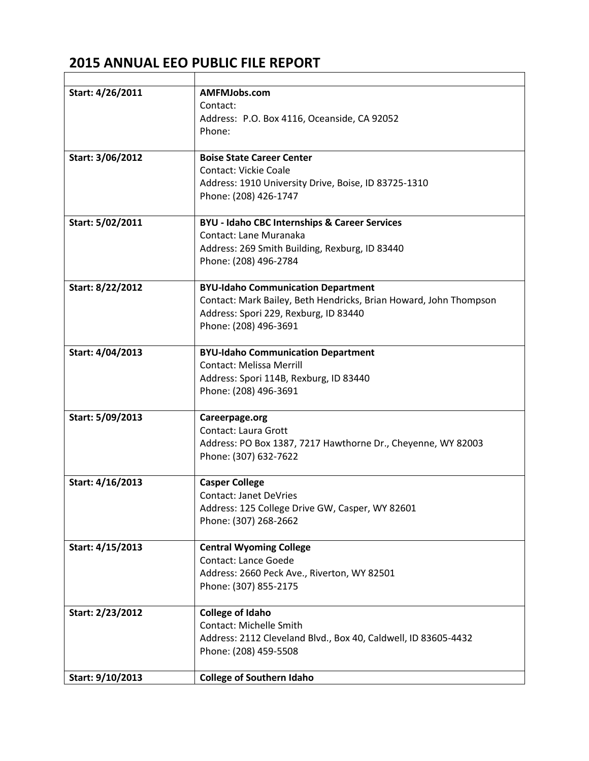r

| Start: 4/26/2011 | AMFMJobs.com<br>Contact:<br>Address: P.O. Box 4116, Oceanside, CA 92052<br>Phone:                                                                                                |
|------------------|----------------------------------------------------------------------------------------------------------------------------------------------------------------------------------|
| Start: 3/06/2012 | <b>Boise State Career Center</b><br><b>Contact: Vickie Coale</b><br>Address: 1910 University Drive, Boise, ID 83725-1310<br>Phone: (208) 426-1747                                |
| Start: 5/02/2011 | <b>BYU - Idaho CBC Internships &amp; Career Services</b><br>Contact: Lane Muranaka<br>Address: 269 Smith Building, Rexburg, ID 83440<br>Phone: (208) 496-2784                    |
| Start: 8/22/2012 | <b>BYU-Idaho Communication Department</b><br>Contact: Mark Bailey, Beth Hendricks, Brian Howard, John Thompson<br>Address: Spori 229, Rexburg, ID 83440<br>Phone: (208) 496-3691 |
| Start: 4/04/2013 | <b>BYU-Idaho Communication Department</b><br><b>Contact: Melissa Merrill</b><br>Address: Spori 114B, Rexburg, ID 83440<br>Phone: (208) 496-3691                                  |
| Start: 5/09/2013 | Careerpage.org<br><b>Contact: Laura Grott</b><br>Address: PO Box 1387, 7217 Hawthorne Dr., Cheyenne, WY 82003<br>Phone: (307) 632-7622                                           |
| Start: 4/16/2013 | <b>Casper College</b><br><b>Contact: Janet DeVries</b><br>Address: 125 College Drive GW, Casper, WY 82601<br>Phone: (307) 268-2662                                               |
| Start: 4/15/2013 | <b>Central Wyoming College</b><br><b>Contact: Lance Goede</b><br>Address: 2660 Peck Ave., Riverton, WY 82501<br>Phone: (307) 855-2175                                            |
| Start: 2/23/2012 | <b>College of Idaho</b><br><b>Contact: Michelle Smith</b><br>Address: 2112 Cleveland Blvd., Box 40, Caldwell, ID 83605-4432<br>Phone: (208) 459-5508                             |
| Start: 9/10/2013 | <b>College of Southern Idaho</b>                                                                                                                                                 |

 $\overline{\phantom{a}}$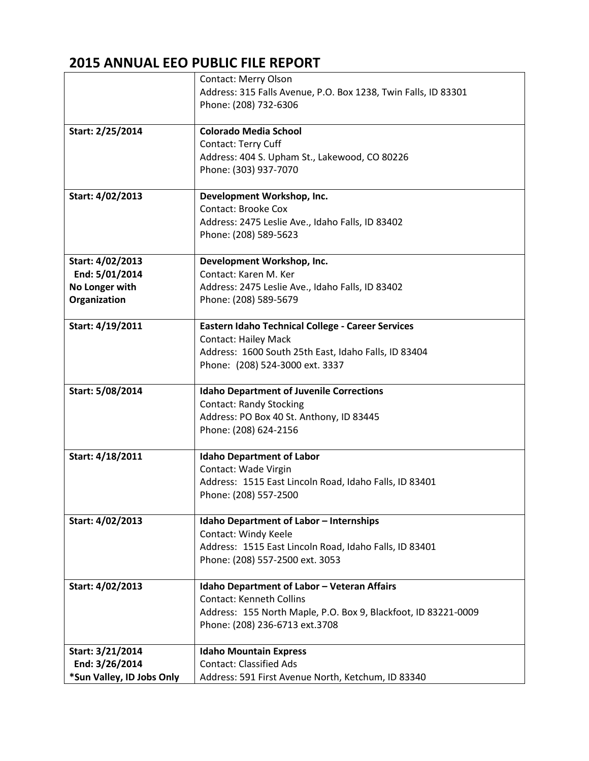|                           | Contact: Merry Olson                                           |
|---------------------------|----------------------------------------------------------------|
|                           | Address: 315 Falls Avenue, P.O. Box 1238, Twin Falls, ID 83301 |
|                           | Phone: (208) 732-6306                                          |
|                           |                                                                |
| Start: 2/25/2014          | <b>Colorado Media School</b>                                   |
|                           | Contact: Terry Cuff                                            |
|                           | Address: 404 S. Upham St., Lakewood, CO 80226                  |
|                           | Phone: (303) 937-7070                                          |
|                           |                                                                |
| Start: 4/02/2013          | Development Workshop, Inc.                                     |
|                           | <b>Contact: Brooke Cox</b>                                     |
|                           | Address: 2475 Leslie Ave., Idaho Falls, ID 83402               |
|                           | Phone: (208) 589-5623                                          |
|                           |                                                                |
| Start: 4/02/2013          | Development Workshop, Inc.                                     |
| End: 5/01/2014            | Contact: Karen M. Ker                                          |
| No Longer with            | Address: 2475 Leslie Ave., Idaho Falls, ID 83402               |
| Organization              | Phone: (208) 589-5679                                          |
|                           |                                                                |
| Start: 4/19/2011          | <b>Eastern Idaho Technical College - Career Services</b>       |
|                           | <b>Contact: Hailey Mack</b>                                    |
|                           | Address: 1600 South 25th East, Idaho Falls, ID 83404           |
|                           | Phone: (208) 524-3000 ext. 3337                                |
|                           |                                                                |
| Start: 5/08/2014          | <b>Idaho Department of Juvenile Corrections</b>                |
|                           | <b>Contact: Randy Stocking</b>                                 |
|                           | Address: PO Box 40 St. Anthony, ID 83445                       |
|                           | Phone: (208) 624-2156                                          |
|                           |                                                                |
| Start: 4/18/2011          | <b>Idaho Department of Labor</b>                               |
|                           | Contact: Wade Virgin                                           |
|                           | Address: 1515 East Lincoln Road, Idaho Falls, ID 83401         |
|                           | Phone: (208) 557-2500                                          |
|                           |                                                                |
| Start: 4/02/2013          | <b>Idaho Department of Labor - Internships</b>                 |
|                           | Contact: Windy Keele                                           |
|                           | Address: 1515 East Lincoln Road, Idaho Falls, ID 83401         |
|                           | Phone: (208) 557-2500 ext. 3053                                |
|                           |                                                                |
| Start: 4/02/2013          | Idaho Department of Labor - Veteran Affairs                    |
|                           | <b>Contact: Kenneth Collins</b>                                |
|                           | Address: 155 North Maple, P.O. Box 9, Blackfoot, ID 83221-0009 |
|                           | Phone: (208) 236-6713 ext.3708                                 |
|                           |                                                                |
| Start: 3/21/2014          | <b>Idaho Mountain Express</b>                                  |
| End: 3/26/2014            | <b>Contact: Classified Ads</b>                                 |
| *Sun Valley, ID Jobs Only | Address: 591 First Avenue North, Ketchum, ID 83340             |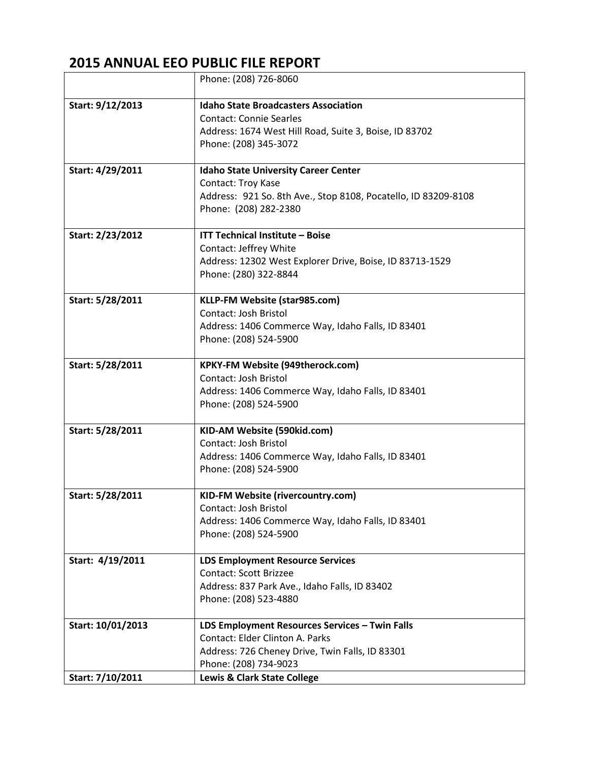|                   | Phone: (208) 726-8060                                                                                                                                                |
|-------------------|----------------------------------------------------------------------------------------------------------------------------------------------------------------------|
| Start: 9/12/2013  | <b>Idaho State Broadcasters Association</b><br><b>Contact: Connie Searles</b><br>Address: 1674 West Hill Road, Suite 3, Boise, ID 83702<br>Phone: (208) 345-3072     |
| Start: 4/29/2011  | <b>Idaho State University Career Center</b><br>Contact: Troy Kase<br>Address: 921 So. 8th Ave., Stop 8108, Pocatello, ID 83209-8108<br>Phone: (208) 282-2380         |
| Start: 2/23/2012  | <b>ITT Technical Institute - Boise</b><br>Contact: Jeffrey White<br>Address: 12302 West Explorer Drive, Boise, ID 83713-1529<br>Phone: (280) 322-8844                |
| Start: 5/28/2011  | KLLP-FM Website (star985.com)<br>Contact: Josh Bristol<br>Address: 1406 Commerce Way, Idaho Falls, ID 83401<br>Phone: (208) 524-5900                                 |
| Start: 5/28/2011  | KPKY-FM Website (949therock.com)<br>Contact: Josh Bristol<br>Address: 1406 Commerce Way, Idaho Falls, ID 83401<br>Phone: (208) 524-5900                              |
| Start: 5/28/2011  | KID-AM Website (590kid.com)<br>Contact: Josh Bristol<br>Address: 1406 Commerce Way, Idaho Falls, ID 83401<br>Phone: (208) 524-5900                                   |
| Start: 5/28/2011  | KID-FM Website (rivercountry.com)<br>Contact: Josh Bristol<br>Address: 1406 Commerce Way, Idaho Falls, ID 83401<br>Phone: (208) 524-5900                             |
| Start: 4/19/2011  | <b>LDS Employment Resource Services</b><br><b>Contact: Scott Brizzee</b><br>Address: 837 Park Ave., Idaho Falls, ID 83402<br>Phone: (208) 523-4880                   |
| Start: 10/01/2013 | LDS Employment Resources Services - Twin Falls<br><b>Contact: Elder Clinton A. Parks</b><br>Address: 726 Cheney Drive, Twin Falls, ID 83301<br>Phone: (208) 734-9023 |
| Start: 7/10/2011  | Lewis & Clark State College                                                                                                                                          |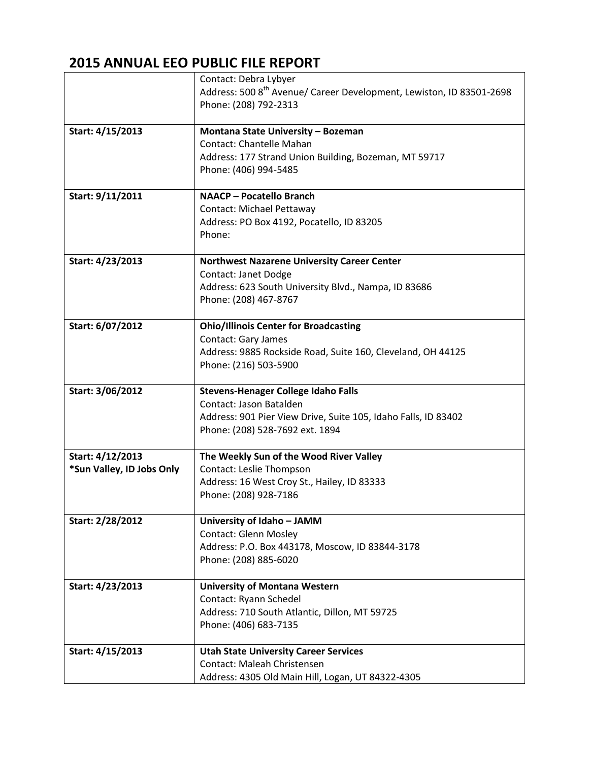|                           | Contact: Debra Lybyer                                                            |
|---------------------------|----------------------------------------------------------------------------------|
|                           | Address: 500 8 <sup>th</sup> Avenue/ Career Development, Lewiston, ID 83501-2698 |
|                           | Phone: (208) 792-2313                                                            |
|                           |                                                                                  |
| Start: 4/15/2013          | Montana State University - Bozeman                                               |
|                           | <b>Contact: Chantelle Mahan</b>                                                  |
|                           | Address: 177 Strand Union Building, Bozeman, MT 59717                            |
|                           | Phone: (406) 994-5485                                                            |
|                           |                                                                                  |
| Start: 9/11/2011          | <b>NAACP - Pocatello Branch</b>                                                  |
|                           | Contact: Michael Pettaway                                                        |
|                           | Address: PO Box 4192, Pocatello, ID 83205                                        |
|                           | Phone:                                                                           |
|                           |                                                                                  |
| Start: 4/23/2013          | <b>Northwest Nazarene University Career Center</b>                               |
|                           | Contact: Janet Dodge                                                             |
|                           | Address: 623 South University Blvd., Nampa, ID 83686                             |
|                           | Phone: (208) 467-8767                                                            |
|                           |                                                                                  |
| Start: 6/07/2012          | <b>Ohio/Illinois Center for Broadcasting</b>                                     |
|                           | <b>Contact: Gary James</b>                                                       |
|                           | Address: 9885 Rockside Road, Suite 160, Cleveland, OH 44125                      |
|                           | Phone: (216) 503-5900                                                            |
|                           |                                                                                  |
| Start: 3/06/2012          | <b>Stevens-Henager College Idaho Falls</b>                                       |
|                           | Contact: Jason Batalden                                                          |
|                           | Address: 901 Pier View Drive, Suite 105, Idaho Falls, ID 83402                   |
|                           | Phone: (208) 528-7692 ext. 1894                                                  |
|                           |                                                                                  |
| Start: 4/12/2013          | The Weekly Sun of the Wood River Valley                                          |
| *Sun Valley, ID Jobs Only | Contact: Leslie Thompson                                                         |
|                           | Address: 16 West Croy St., Hailey, ID 83333                                      |
|                           | Phone: (208) 928-7186                                                            |
|                           |                                                                                  |
| Start: 2/28/2012          | University of Idaho - JAMM                                                       |
|                           | <b>Contact: Glenn Mosley</b>                                                     |
|                           | Address: P.O. Box 443178, Moscow, ID 83844-3178                                  |
|                           | Phone: (208) 885-6020                                                            |
|                           |                                                                                  |
| Start: 4/23/2013          | <b>University of Montana Western</b>                                             |
|                           | Contact: Ryann Schedel                                                           |
|                           | Address: 710 South Atlantic, Dillon, MT 59725                                    |
|                           | Phone: (406) 683-7135                                                            |
|                           |                                                                                  |
| Start: 4/15/2013          | <b>Utah State University Career Services</b>                                     |
|                           | Contact: Maleah Christensen                                                      |
|                           | Address: 4305 Old Main Hill, Logan, UT 84322-4305                                |
|                           |                                                                                  |